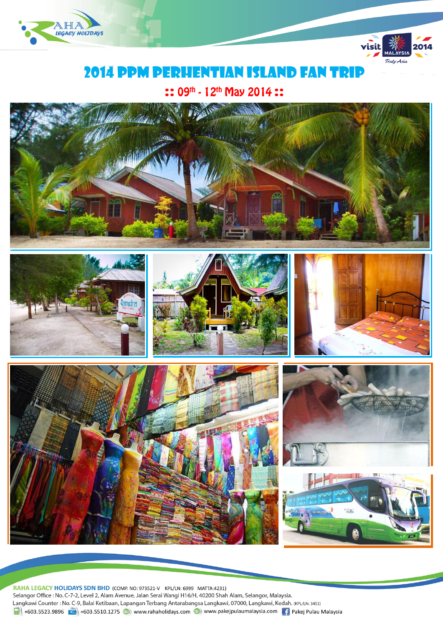



# **2014 PPM PERHENTIAN ISLAND FAN TRIP**

:: 09th - 12th May 2014 ::











RAHA LEGACY HOLIDAYS SDN BHD (COMP. NO: 973521-V KPL/LN: 6999 MATTA:4231) Selangor Office : No. C-7-2, Level 2, Alam Avenue, Jalan Serai Wangi H16/H, 40200 Shah Alam, Selangor, Malaysia. Langkawi Counter: No. C-9, Balai Ketibaan, Lapangan Terbang Antarabangsa Langkawi, 07000, Langkawi, Kedah. (KPL/LN: 3453) Herold 1523.9896 (15) +603.5510.1275 (1) www.rahaholidays.com (1) www.pakejpulaumalaysia.com [1] Pakej Pulau Malaysia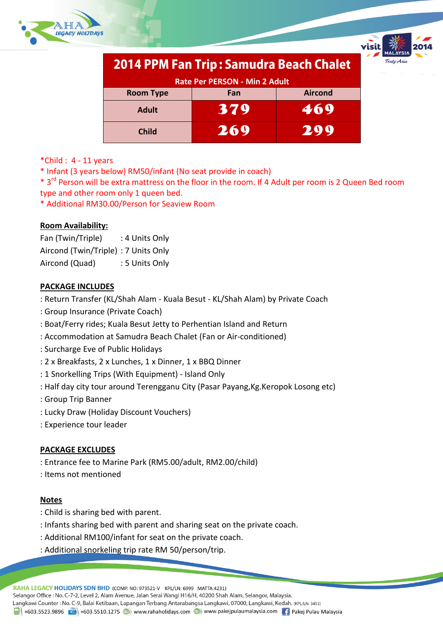

| <b>2014 PPM Fan Trip: Samudra Beach Chalet</b> |     |                |  |
|------------------------------------------------|-----|----------------|--|
| Rate Per PERSON - Min 2 Adult                  |     |                |  |
| <b>Room Type</b>                               | Fan | <b>Aircond</b> |  |
| <b>Adult</b>                                   | 379 | 469            |  |
| <b>Child</b>                                   | 269 | 299            |  |

 $*$ Child : 4 - 11 years

\* Infant (3 years below) RM50/infant (No seat provide in coach)

\* 3<sup>rd</sup> Person will be extra mattress on the floor in the room. If 4 Adult per room is 2 Queen Bed room type and other room only 1 queen bed.

\* Additional RM30.00/Person for Seaview Room

## **Room Availability:**

Fan (Twin/Triple) : 4 Units Only Aircond (Twin/Triple) : 7 Units Only Aircond (Quad) : 5 Units Only

## **PACKAGE INCLUDES**

- : Return Transfer (KL/Shah Alam Kuala Besut KL/Shah Alam) by Private Coach
- : Group Insurance (Private Coach)
- : Boat/Ferry rides; Kuala Besut Jetty to Perhentian Island and Return
- : Accommodation at Samudra Beach Chalet (Fan or Air-conditioned)
- : Surcharge Eve of Public Holidays
- : 2 x Breakfasts, 2 x Lunches, 1 x Dinner, 1 x BBQ Dinner
- : 1 Snorkelling Trips (With Equipment) Island Only
- : Half day city tour around Terengganu City (Pasar Payang,Kg.Keropok Losong etc)
- : Group Trip Banner
- : Lucky Draw (Holiday Discount Vouchers)
- : Experience tour leader

#### **PACKAGE EXCLUDES**

- : Entrance fee to Marine Park (RM5.00/adult, RM2.00/child)
- : Items not mentioned

#### **Notes**

- : Child is sharing bed with parent.
- : Infants sharing bed with parent and sharing seat on the private coach.
- : Additional RM100/infant for seat on the private coach.
- : Additional snorkeling trip rate RM 50/person/trip.

RAHA LEGACY HOLIDAYS SDN BHD (COMP. NO: 973521-V KPL/LN: 6999 MATTA:4231)

Selangor Office : No. C-7-2, Level 2, Alam Avenue, Jalan Serai Wangi H16/H, 40200 Shah Alam, Selangor, Malaysia. Langkawi Counter: No. C-9, Balai Ketibaan, Lapangan Terbang Antarabangsa Langkawi, 07000, Langkawi, Kedah. (KPL/LN: 3453) Bell +603.5523.9896 Pulau Malaysia (1995) www.rahaholidays.com (19) www.pakejpulaumalaysia.com Pel Pakej Pulau Malaysia